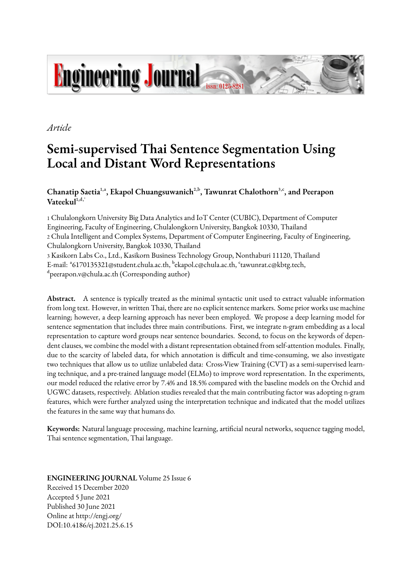# **Engineering Journal**

*Article*

# **Semi-supervised Thai Sentence Segmentation Using Local and Distant Word Representations**

Chanatip Saetia<sup>1,a</sup>, Ekapol Chuangsuwanich<sup>2,b</sup>, Tawunrat Chalothorn<sup>3,c</sup>, and Peerapon  $V$ ateekul $l^{1,d}$ ,

1 Chulalongkorn University Big Data Analytics and IoT Center (CUBIC), Department of Computer Engineering, Faculty of Engineering, Chulalongkorn University, Bangkok 10330, Thailand 2 Chula Intelligent and Complex Systems, Department of Computer Engineering, Faculty of Engineering, Chulalongkorn University, Bangkok 10330, Thailand 3 Kasikorn Labs Co., Ltd., Kasikorn Business Technology Group, Nonthaburi 11120, Thailand E-mail: <sup>a</sup>6170135321@student.chula.ac.th, <sup>b</sup>ekapol.c@chula.ac.th, 'tawunrat.c@kbtg.tech, dpeerapon.v@chula.ac.th (Corresponding author)

**Abstract.** A sentence is typically treated as the minimal syntactic unit used to extract valuable information from long text. However, in written Thai, there are no explicit sentence markers. Some prior works use machine learning; however, a deep learning approach has never been employed. We propose a deep learning model for sentence segmentation that includes three main contributions. First, we integrate n-gram embedding as a local representation to capture word groups near sentence boundaries. Second, to focus on the keywords of dependent clauses, we combine the model with a distant representation obtained from self-attention modules. Finally, due to the scarcity of labeled data, for which annotation is difficult and time-consuming, we also investigate two techniques that allow us to utilize unlabeled data: Cross-View Training (CVT) as a semi-supervised learning technique, and a pre-trained language model (ELMo) to improve word representation. In the experiments, our model reduced the relative error by 7.4% and 18.5% compared with the baseline models on the Orchid and UGWC datasets, respectively. Ablation studies revealed that the main contributing factor was adopting n-gram features, which were further analyzed using the interpretation technique and indicated that the model utilizes the features in the same way that humans do.

**Keywords:** Natural language processing, machine learning, artificial neural networks, sequence tagging model, Thai sentence segmentation, Thai language.

DOI:10.4186/ej.2021.25.6.15 Online at http://engj.org/ Published 30 June 2021 Accepted 5 June 2021 Received 15 December 2020 **ENGINEERING JOURNAL** Volume 25 Issue 6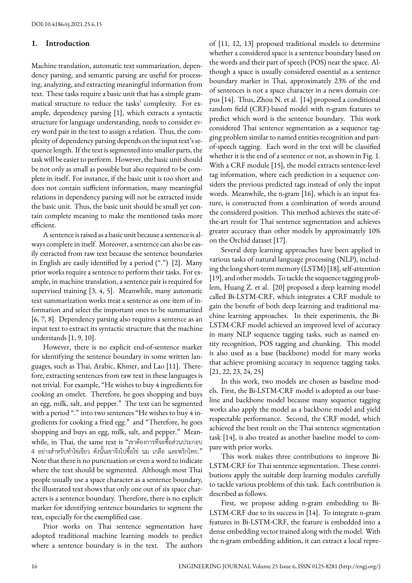## **1. Introduction**

Machine translation, automatic text summarization, dependency parsing, and semantic parsing are useful for processing, analyzing, and extracting meaningful information from text. These tasks require a basic unit that has a simple grammatical structure to reduce the tasks' complexity. For example, dependency parsing [1], which extracts a syntactic structure for language understanding, needs to consider every word pair in the text to assign a relation. Thus, the complexity of dependency parsing depends on the input text's sequence length. If the text is segmented into smaller parts, the task will be easier to perform. However, the basic unit should be not only as small as possible but also required to be complete in itself. For instance, if the basic unit is too short and does not contain sufficient information, many meaningful relations in dependency parsing will not be extracted inside the basic unit. Thus, the basic unit should be small yet contain complete meaning to make the mentioned tasks more efficient.

A sentence is raised as a basic unit because a sentence is always complete in itself. Moreover, a sentence can also be easily extracted from raw text because the sentence boundaries in English are easily identified by a period (".") [2]. Many prior works require a sentence to perform their tasks. For example, in machine translation, a sentence pair is required for supervised training [3, 4, 5]. Meanwhile, many automatic text summarization works treat a sentence as one item of information and select the important ones to be summarized [6, 7, 8]. Dependency parsing also requires a sentence as an input text to extract its syntactic structure that the machine understands [1, 9, 10].

However, there is no explicit end-of-sentence marker for identifying the sentence boundary in some written languages, such as Thai, Arabic, Khmer, and Lao [11]. Therefore, extracting sentences from raw text in these languages is not trivial. For example, "He wishes to buy 4 ingredients for cooking an omelet. Therefore, he goes shopping and buys an egg, milk, salt, and pepper." The text can be segmented with a period "." into two sentences "He wishes to buy 4 ingredients for cooking a fried egg." and "Therefore, he goes shopping and buys an egg, milk, salt, and pepper." Meanwhile, in Thai, the same text is "เขาต้องการที่จะซื้อส่วนประกอบ 4 อย่างสําหรับทําไข่เจียว ดังนั้นเขาจึงไปซื้อไข่ นม เกลือ และพริกไทย." Note that there is no punctuation or even a word to indicate where the text should be segmented. Although most Thai people usually use a space character as a sentence boundary, the illustrated text shows that only one out of six space characters is a sentence boundary. Therefore, there is no explicit marker for identifying sentence boundaries to segment the text, especially for the exemplified case.

Prior works on Thai sentence segmentation have adopted traditional machine learning models to predict where a sentence boundary is in the text. The authors

of [11, 12, 13] proposed traditional models to determine whether a considered space is a sentence boundary based on the words and their part of speech (POS) near the space. Although a space is usually considered essential as a sentence boundary marker in Thai, approximately 23% of the end of sentences is not a space character in a news domain corpus [14]. Thus, Zhou N. et al. [14] proposed a conditional random field (CRF)-based model with n-gram features to predict which word is the sentence boundary. This work considered Thai sentence segmentation as a sequence tagging problem similar to named entities recognition and partof-speech tagging. Each word in the text will be classified whether it is the end of a sentence or not, as shown in Fig. 1. With a CRF module [15], the model extracts sentence-level tag information, where each prediction in a sequence considers the previous predicted tags instead of only the input words. Meanwhile, the n-gram [16], which is an input feature, is constructed from a combination of words around the considered position. This method achieves the state-ofthe-art result for Thai sentence segmentation and achieves greater accuracy than other models by approximately 10% on the Orchid dataset [17].

Several deep learning approaches have been applied in various tasks of natural language processing (NLP), including the long short-term memory (LSTM) [18], self-attention [19], and other models. To tackle the sequence tagging problem, Huang Z. et al. [20] proposed a deep learning model called Bi-LSTM-CRF, which integrates a CRF module to gain the benefit of both deep learning and traditional machine learning approaches. In their experiments, the Bi-LSTM-CRF model achieved an improved level of accuracy in many NLP sequence tagging tasks, such as named entity recognition, POS tagging and chunking. This model is also used as a base (backbone) model for many works that achieve promising accuracy in sequence tagging tasks. [21, 22, 23, 24, 25]

In this work, two models are chosen as baseline models. First, the Bi-LSTM-CRF model is adopted as our baseline and backbone model because many sequence tagging works also apply the model as a backbone model and yield respectable performance. Second, the CRF model, which achieved the best result on the Thai sentence segmentation task [14], is also treated as another baseline model to compare with prior works.

This work makes three contributions to improve Bi-LSTM-CRF for Thai sentence segmentation. These contributions apply the suitable deep learning modules carefully to tackle various problems of this task. Each contribution is described as follows.

First, we propose adding n-gram embedding to Bi-LSTM-CRF due to its success in [14]. To integrate n-gram features in Bi-LSTM-CRF, the feature is embedded into a dense embedding vector trained along with the model. With the n-gram embedding addition, it can extract a local repre-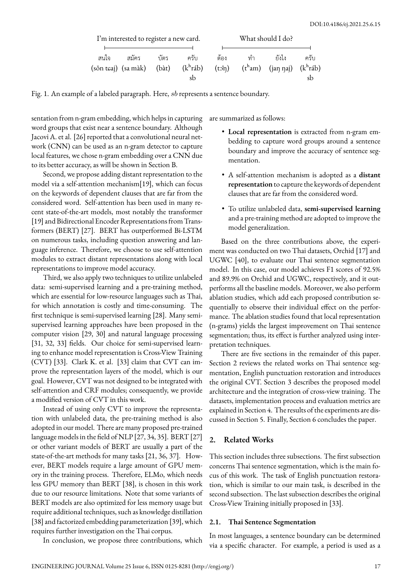|      | I'm interested to register a new card. |       |             | What should I do? |    |                                                                          |      |  |  |
|------|----------------------------------------|-------|-------------|-------------------|----|--------------------------------------------------------------------------|------|--|--|
|      |                                        |       |             |                   |    |                                                                          |      |  |  |
| สนใจ | สมัคร                                  | บัตร  | ครับ        | ต้อง              | ทำ | ยังไง                                                                    | ครับ |  |  |
|      | (sǒn tɕaj) (sa màk)                    | (bat) | $(k^h$ ráb) |                   |    | $(t\hat{on})$ $(t^{\hat{h}}am)$ $(jan\hat{aj})$ $(k^{\hat{h}}r\hat{ab})$ |      |  |  |
|      |                                        |       | sb          |                   |    |                                                                          |      |  |  |

Fig. 1. An example of a labeled paragraph. Here, *sb* represents a sentence boundary.

sentation from n-gram embedding, which helps in capturing are summarized as follows: word groups that exist near a sentence boundary. Although Jacovi A. et al. [26] reported that a convolutional neural network (CNN) can be used as an n-gram detector to capture local features, we chose n-gram embedding over a CNN due to its better accuracy, as will be shown in Section B.

Second, we propose adding distant representation to the model via a self-attention mechanism[19], which can focus on the keywords of dependent clauses that are far from the considered word. Self-attention has been used in many recent state-of-the-art models, most notably the transformer [19] and Bidirectional Encoder Representations from Transformers (BERT) [27]. BERT has outperformed Bi-LSTM on numerous tasks, including question answering and language inference. Therefore, we choose to use self-attention modules to extract distant representations along with local representations to improve model accuracy.

Third, we also apply two techniques to utilize unlabeled data: semi-supervised learning and a pre-training method, which are essential for low-resource languages such as Thai, for which annotation is costly and time-consuming. The first technique is semi-supervised learning [28]. Many semisupervised learning approaches have been proposed in the computer vision [29, 30] and natural language processing [31, 32, 33] fields. Our choice for semi-supervised learning to enhance model representation is Cross-View Training (CVT) [33]. Clark K. et al. [33] claim that CVT can improve the representation layers of the model, which is our goal. However, CVT was not designed to be integrated with self-attention and CRF modules; consequently, we provide a modified version of CVT in this work.

Instead of using only CVT to improve the representation with unlabeled data, the pre-training method is also adopted in our model. There are many proposed pre-trained language models in the field of NLP [27, 34, 35]. BERT [27] or other variant models of BERT are usually a part of the state-of-the-art methods for many tasks [21, 36, 37]. However, BERT models require a large amount of GPU memory in the training process. Therefore, ELMo, which needs less GPU memory than BERT [38], is chosen in this work due to our resource limitations. Note that some variants of BERT models are also optimized for less memory usage but require additional techniques, such as knowledge distillation [38] and factorized embedding parameterization [39], which requires further investigation on the Thai corpus.

In conclusion, we propose three contributions, which

- **Local representation** is extracted from n-gram embedding to capture word groups around a sentence boundary and improve the accuracy of sentence segmentation.
- A self-attention mechanism is adopted as a **distant representation** to capture the keywords of dependent clauses that are far from the considered word.
- To utilize unlabeled data, **semi-supervised learning** and a pre-training method are adopted to improve the model generalization.

Based on the three contributions above, the experiment was conducted on two Thai datasets, Orchid [17] and UGWC [40], to evaluate our Thai sentence segmentation model. In this case, our model achieves F1 scores of 92.5% and 89.9% on Orchid and UGWC, respectively, and it outperforms all the baseline models. Moreover, we also perform ablation studies, which add each proposed contribution sequentially to observe their individual effect on the performance. The ablation studies found that local representation (n-grams) yields the largest improvement on Thai sentence segmentation; thus, its effect is further analyzed using interpretation techniques.

There are five sections in the remainder of this paper. Section 2 reviews the related works on Thai sentence segmentation, English punctuation restoration and introduces the original CVT. Section 3 describes the proposed model architecture and the integration of cross-view training. The datasets, implementation process and evaluation metrics are explained in Section 4. The results of the experiments are discussed in Section 5. Finally, Section 6 concludes the paper.

# **2. Related Works**

This section includes three subsections. The first subsection concerns Thai sentence segmentation, which is the main focus of this work. The task of English punctuation restoration, which is similar to our main task, is described in the second subsection. The last subsection describes the original Cross-View Training initially proposed in [33].

### **2.1. Thai Sentence Segmentation**

In most languages, a sentence boundary can be determined via a specific character. For example, a period is used as a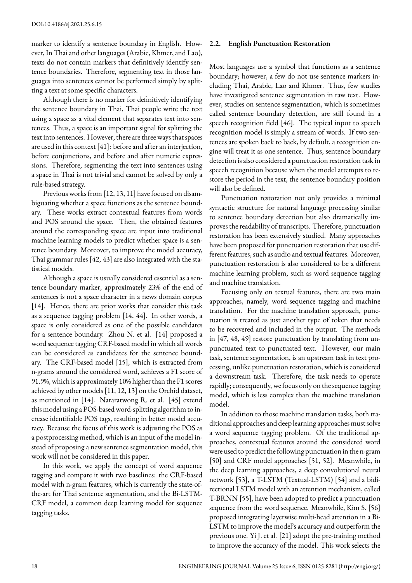marker to identify a sentence boundary in English. However, In Thai and other languages (Arabic, Khmer, and Lao), texts do not contain markers that definitively identify sentence boundaries. Therefore, segmenting text in those languages into sentences cannot be performed simply by splitting a text at some specific characters.

Although there is no marker for definitively identifying the sentence boundary in Thai, Thai people write the text using a space as a vital element that separates text into sentences. Thus, a space is an important signal for splitting the text into sentences. However, there are three ways that spaces are used in this context [41]: before and after an interjection, before conjunctions, and before and after numeric expressions. Therefore, segmenting the text into sentences using a space in Thai is not trivial and cannot be solved by only a rule-based strategy.

Previous works from [12, 13, 11] have focused on disambiguating whether a space functions as the sentence boundary. These works extract contextual features from words and POS around the space. Then, the obtained features around the corresponding space are input into traditional machine learning models to predict whether space is a sentence boundary. Moreover, to improve the model accuracy, Thai grammar rules [42, 43] are also integrated with the statistical models.

Although a space is usually considered essential as a sentence boundary marker, approximately 23% of the end of sentences is not a space character in a news domain corpus [14]. Hence, there are prior works that consider this task as a sequence tagging problem [14, 44]. In other words, a space is only considered as one of the possible candidates for a sentence boundary. Zhou N. et al. [14] proposed a word sequence tagging CRF-based model in which all words can be considered as candidates for the sentence boundary. The CRF-based model [15], which is extracted from n-grams around the considered word, achieves a F1 score of 91.9%, which is approximately 10% higher than the F1 scores achieved by other models [11, 12, 13] on the Orchid dataset, as mentioned in [14]. Nararatwong R. et al. [45] extend this model using a POS-based word-splitting algorithm to increase identifiable POS tags, resulting in better model accuracy. Because the focus of this work is adjusting the POS as a postprocessing method, which is an input of the model instead of proposing a new sentence segmentation model, this work will not be considered in this paper.

In this work, we apply the concept of word sequence tagging and compare it with two baselines: the CRF-based model with n-gram features, which is currently the state-ofthe-art for Thai sentence segmentation, and the Bi-LSTM-CRF model, a common deep learning model for sequence tagging tasks.

#### **2.2. English Punctuation Restoration**

Most languages use a symbol that functions as a sentence boundary; however, a few do not use sentence markers including Thai, Arabic, Lao and Khmer. Thus, few studies have investigated sentence segmentation in raw text. However, studies on sentence segmentation, which is sometimes called sentence boundary detection, are still found in a speech recognition field [46]. The typical input to speech recognition model is simply a stream of words. If two sentences are spoken back to back, by default, a recognition engine will treat it as one sentence. Thus, sentence boundary detection is also considered a punctuation restoration task in speech recognition because when the model attempts to restore the period in the text, the sentence boundary position will also be defined.

Punctuation restoration not only provides a minimal syntactic structure for natural language processing similar to sentence boundary detection but also dramatically improves the readability of transcripts. Therefore, punctuation restoration has been extensively studied. Many approaches have been proposed for punctuation restoration that use different features, such as audio and textual features. Moreover, punctuation restoration is also considered to be a different machine learning problem, such as word sequence tagging and machine translation.

Focusing only on textual features, there are two main approaches, namely, word sequence tagging and machine translation. For the machine translation approach, punctuation is treated as just another type of token that needs to be recovered and included in the output. The methods in [47, 48, 49] restore punctuation by translating from unpunctuated text to punctuated text. However, our main task, sentence segmentation, is an upstream task in text processing, unlike punctuation restoration, which is considered a downstream task. Therefore, the task needs to operate rapidly; consequently, we focus only on the sequence tagging model, which is less complex than the machine translation model.

In addition to those machine translation tasks, both traditional approaches and deep learning approaches must solve a word sequence tagging problem. Of the traditional approaches, contextual features around the considered word were used to predict the following punctuation in the n-gram [50] and CRF model approaches [51, 52]. Meanwhile, in the deep learning approaches, a deep convolutional neural network [53], a T-LSTM (Textual-LSTM) [54] and a bidirectional LSTM model with an attention mechanism, called T-BRNN [55], have been adopted to predict a punctuation sequence from the word sequence. Meanwhile, Kim S. [56] proposed integrating layerwise multi-head attention in a Bi-LSTM to improve the model's accuracy and outperform the previous one. Yi J. et al. [21] adopt the pre-training method to improve the accuracy of the model. This work selects the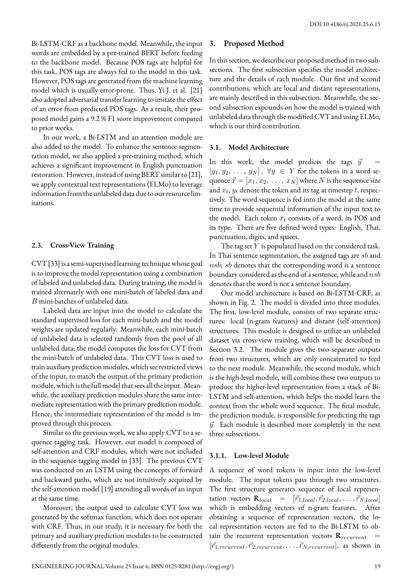Bi-LSTM-CRF as a backbone model. Meanwhile, the input words are embedded by a pre-trained BERT before feeding to the backbone model. Because POS tags are helpful for this task, POS tags are always fed to the model in this task. However, POS tags are generated from the machine learning model which is usually error-prone. Thus, Yi J. et al. [21] also adopted adversarial transfer learning to imitate the effect of an error from predicted POS tags. As a result, their proposed model gains a 9.2 % F1 score improvement compared to prior works.

In our work, a Bi-LSTM and an attention module are also added to the model. To enhance the sentence segmentation model, we also applied a pre-training method, which achieves a significant improvement in English punctuation restoration. However, instead of using BERT similar to [21], we apply contextual text representations (ELMo) to leverage information from the unlabeled data due to our resource limitations.

### **2.3. Cross-View Training**

CVT [33] is a semi-supervised learning technique whose goal is to improve the model representation using a combination of labeled and unlabeled data. During training, the model is trained alternately with one mini-batch of labeled data and *B* mini-batches of unlabeled data.

Labeled data are input into the model to calculate the standard supervised loss for each mini-batch and the model weights are updated regularly. Meanwhile, each mini-batch of unlabeled data is selected randomly from the pool of all unlabeled data; the model computes the loss for CVT from the mini-batch of unlabeled data. This CVT loss is used to train auxiliary prediction modules, which see restricted views of the input, to match the output of the primary prediction module, which is the full model that sees all the input. Meanwhile, the auxiliary prediction modules share the same intermediate representation with the primary prediction module. Hence, the intermediate representation of the model is improved through this process.

Similar to the previous work, we also apply CVT to a sequence tagging task. However, our model is composed of self-attention and CRF modules, which were not included in the sequence tagging model in [33]. The previous CVT was conducted on an LSTM using the concepts of forward and backward paths, which are not intuitively acquired by the self-attention model [19] attending all words of an input at the same time.

Moreover, the output used to calculate CVT loss was generated by the softmax function, which does not operate with CRF. Thus, in our study, it is necessary for both the primary and auxiliary prediction modules to be constructed differently from the original modules.

# **3. Proposed Method**

In this section, we describe our proposed method in two subsections. The first subsection specifies the model architecture and the details of each module. Our first and second contributions, which are local and distant representations, are mainly described in this subsection. Meanwhile, the second subsection expounds on how the model is trained with unlabeled data through the modified CVT and using ELMo, which is our third contribution.

# **3.1. Model Architecture**

In this work, the model predicts the tags  $\vec{y}$  $[y_1, y_2, \ldots, y_N], \forall y \in Y$  for the tokens in a word sequence  $\vec{x} = [x_1, x_2, \ldots, x_N]$  where *N* is the sequence size and *x<sup>t</sup>* , *y<sup>t</sup>* denote the token and its tag at timestep *t*, respectively. The word sequence is fed into the model at the same time to provide sequential information of the input text to the model. Each token *x<sup>t</sup>* consists of a word, its POS and its type. There are five defined word types: English, Thai, punctuation, digits, and spaces.

The tag set *Y* is populated based on the considered task. In Thai sentence segmentation, the assigned tags are *sb* and *nsb*; *sb* denotes that the corresponding word is a sentence boundary considered as the end of a sentence, while and *nsb* denotes that the word is not a sentence boundary.

Our model architecture is based on Bi-LSTM-CRF, as shown in Fig. 2. The model is divided into three modules. The first, low-level module, consists of two separate structures: local (n-gram features) and distant (self-attention) structures. This module is designed to utilize an unlabeled dataset via cross-view training, which will be described in Section 3.2. The module gives the two separate outputs from two structures, which are only concatenated to feed to the next module. Meanwhile, the second module, which is the high-level module, will combine these two outputs to produce the higher-level representation from a stack of Bi-LSTM and self-attention, which helps the model learn the context from the whole word sequence. The final module, the prediction module, is responsible for predicting the tags *⃗y*. Each module is described more completely in the next three subsections.

#### **3.1.1. Low-level Module**

A sequence of word tokens is input into the low-level module. The input tokens pass through two structures. The first structure generates sequence of local representation vectors  $\mathbf{R}_{local} = [\vec{r}_{1,local}, \vec{r}_{2,local}, \dots, \vec{r}_{N,local}]$ which is embedding vectors of n-gram features. After obtaining a sequence of representation vectors, the local representation vectors are fed to the Bi-LSTM to obtain the recurrent representation vectors  $\mathbf{R}_{recurrent}$  $[\vec{r}_1, \vec{r}_2, \vec{r}_2, \vec{r}_1, \dots, \vec{r}_N, \vec{r}_N, \vec{r}_N, \dots]$ , as shown in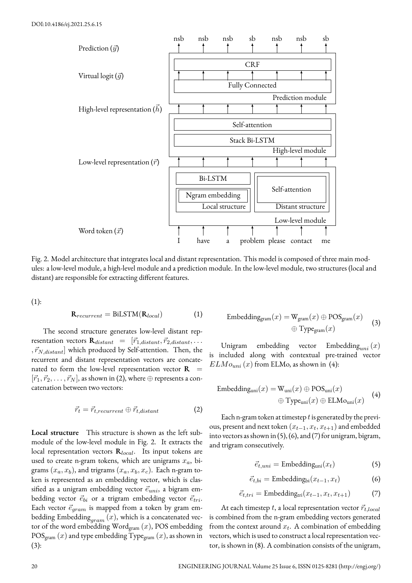

Fig. 2. Model architecture that integrates local and distant representation. This model is composed of three main modules: a low-level module, a high-level module and a prediction module. In the low-level module, two structures (local and distant) are responsible for extracting different features.

(1):

$$
\mathbf{R}_{recurrent} = \text{BiLSTM}(\mathbf{R}_{local}) \tag{1}
$$

The second structure generates low-level distant representation vectors  $\mathbf{R}_{distant} = [\vec{r}_{1,distant}, \vec{r}_{2,distant}, \dots]$  $\langle \vec{r}_{N,distant} \rangle$  which produced by Self-attention. Then, the recurrent and distant representation vectors are concatenated to form the low-level representation vector  $\mathbf{R}$  =  $[\vec{r}_1, \vec{r}_2, \ldots, \vec{r}_N]$ , as shown in (2), where  $\oplus$  represents a concatenation between two vectors:

$$
\vec{r}_t = \vec{r}_{t, recurrent} \oplus \vec{r}_{t, distant} \tag{2}
$$

**Local structure** This structure is shown as the left submodule of the low-level module in Fig. 2. It extracts the local representation vectors **R***local*. Its input tokens are used to create n-gram tokens, which are unigrams *xa*, bigrams  $(x_a, x_b)$ , and trigrams  $(x_a, x_b, x_c)$ . Each n-gram token is represented as an embedding vector, which is classified as a unigram embedding vector  $\vec{e}_{uni}$ , a bigram embedding vector  $\vec{e}_{bi}$  or a trigram embedding vector  $\vec{e}_{tri}$ . Each vector  $\vec{e}_{gram}$  is mapped from a token by gram embedding Embedding $_{gram}\left( x\right)$ , which is a concatenated vector of the word embedding Wordgram (*x*), POS embedding  $POS<sub>gram</sub> (x)$  and type embedding Type<sub>gram</sub>  $(x)$ , as shown in (3):

$$
\begin{aligned} \text{Embedding}_{\text{gram}}(x) &= \mathbf{W}_{\text{gram}}(x) \oplus \text{POS}_{\text{gram}}(x) \\ &\quad \oplus \text{Type}_{\text{gram}}(x) \end{aligned} \tag{3}
$$

Unigram embedding vector Embedding*uni* (*x*) is included along with contextual pre-trained vector  $ELMo<sub>uni</sub> (x)$  from ELMo, as shown in (4):

Embedding<sub>uni</sub>
$$
(x)
$$
 =  $W_{uni}(x) \oplus POS_{uni}(x)$   
 $\oplus$  Type<sub>uni</sub> $(x) \oplus$  ELMo<sub>uni</sub> $(x)$  (4)

Each n-gram token at timestep *t*is generated by the previous, present and next token  $(x_{t-1}, x_t, x_{t+1})$  and embedded into vectors as shown in (5), (6), and (7) for unigram, bigram, and trigram consecutively.

$$
\vec{e}_{t,uni} = \text{Embedding}_{\text{uni}}(x_t) \tag{5}
$$

$$
\vec{e}_{t,bi} = \text{Embedding}_{bi}(x_{t-1}, x_t) \tag{6}
$$

$$
\vec{e}_{t,tri} = \text{Embedding}_{\text{tri}}(x_{t-1}, x_t, x_{t+1}) \tag{7}
$$

At each timestep *t*, a local representation vector *⃗rt,local* is combined from the n-gram embedding vectors generated from the context around *x<sup>t</sup>* . A combination of embedding vectors, which is used to construct a local representation vector, is shown in (8). A combination consists of the unigram,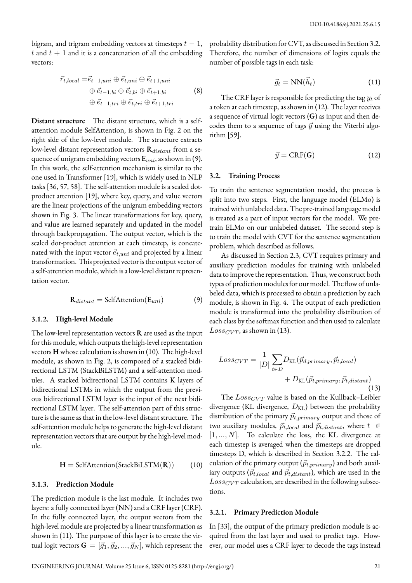bigram, and trigram embedding vectors at timesteps *t −* 1,  $t$  and  $t + 1$  and it is a concatenation of all the embedding vectors:

$$
\vec{r}_{t,local} = \vec{e}_{t-1,uni} \oplus \vec{e}_{t,uni} \oplus \vec{e}_{t+1,uni}
$$

$$
\oplus \vec{e}_{t-1,bi} \oplus \vec{e}_{t,bi} \oplus \vec{e}_{t+1,bi}
$$

$$
\oplus \vec{e}_{t-1,tri} \oplus \vec{e}_{t,tri} \oplus \vec{e}_{t+1,tri}
$$
(8)

**Distant structure** The distant structure, which is a selfattention module SelfAttention, is shown in Fig. 2 on the right side of the low-level module. The structure extracts low-level distant representation vectors **R***distant* from a sequence of unigram embedding vectors **E***uni*, as shown in (9). In this work, the self-attention mechanism is similar to the one used in Transformer [19], which is widely used in NLP tasks [36, 57, 58]. The self-attention module is a scaled dotproduct attention [19], where key, query, and value vectors are the linear projections of the unigram embedding vectors shown in Fig. 3. The linear transformations for key, query, and value are learned separately and updated in the model through backpropagation. The output vector, which is the scaled dot-product attention at each timestep, is concatenated with the input vector  $\vec{e}_{t,uni}$  and projected by a linear transformation. This projected vector is the output vector of a self-attention module, which is a low-level distant representation vector.

$$
\mathbf{R}_{distant} = \text{SelfAttention}(\mathbf{E}_{uni}) \tag{9}
$$

#### **3.1.2. High-level Module**

The low-level representation vectors **R** are used as the input for this module, which outputs the high-level representation vectors **H** whose calculation is shown in (10). The high-level module, as shown in Fig. 2, is composed of a stacked bidirectional LSTM (StackBiLSTM) and a self-attention modules. A stacked bidirectional LSTM contains K layers of bidirectional LSTMs in which the output from the previous bidirectional LSTM layer is the input of the next bidirectional LSTM layer. The self-attention part of this structure is the same as that in the low-level distant structure. The self-attention module helps to generate the high-level distant representation vectors that are output by the high-level module.

$$
H = SelfAttention(StackBiLSTM(R)) \qquad (10)
$$

#### **3.1.3. Prediction Module**

The prediction module is the last module. It includes two layers: a fully connected layer (NN) and a CRF layer (CRF). In the fully connected layer, the output vectors from the high-level module are projected by a linear transformation as shown in (11). The purpose of this layer is to create the virtual logit vectors  $\mathbf{G} = [\vec{g}_1, \vec{g}_2, ..., \vec{g}_N]$ , which represent the probability distribution for CVT, as discussed in Section 3.2. Therefore, the number of dimensions of logits equals the number of possible tags in each task:

$$
\vec{g}_t = \text{NN}(\vec{h}_t) \tag{11}
$$

The CRF layer is responsible for predicting the tag *y<sup>t</sup>* of a token at each timestep, as shown in (12). The layer receives a sequence of virtual logit vectors (**G**) as input and then decodes them to a sequence of tags  $\vec{y}$  using the Viterbi algorithm [59].

$$
\vec{y} = \text{CRF}(\mathbf{G})\tag{12}
$$

#### **3.2. Training Process**

To train the sentence segmentation model, the process is split into two steps. First, the language model (ELMo) is trained with unlabeled data. The pre-trained language model is treated as a part of input vectors for the model. We pretrain ELMo on our unlabeled dataset. The second step is to train the model with CVT for the sentence segmentation problem, which described as follows.

As discussed in Section 2.3, CVT requires primary and auxiliary prediction modules for training with unlabeled data to improve the representation. Thus, we construct both types of prediction modules for our model. The flow of unlabeled data, which is processed to obtain a prediction by each module, is shown in Fig. 4. The output of each prediction module is transformed into the probability distribution of each class by the softmax function and then used to calculate  $Loss_{CVT}$ , as shown in (13).

$$
Loss_{CVT} = \frac{1}{|D|} \sum_{t \in D} D_{KL}(\vec{p}_{d,primary}, \vec{p}_{t, local}) + D_{KL}(\vec{p}_{t, primary}, \vec{p}_{t, distant})
$$
\n(13)

The  $Loss_{CVT}$  value is based on the Kullback–Leibler divergence (KL divergence,  $D_{\text{KL}}$ ) between the probability distribution of the primary  $\vec{p}_{t,primary}$  output and those of two auxiliary modules,  $\vec{p}_{t,local}$  and  $\vec{p}_{t,distant}$ , where  $t \in$ [1*, ..., N*]. To calculate the loss, the KL divergence at each timestep is averaged when the timesteps are dropped timesteps D, which is described in Section 3.2.2. The calculation of the primary output  $(\vec{p}_{t,primary})$  and both auxiliary outputs ( $\vec{p}_{t,local}$  and  $\vec{p}_{t,distant}$ ), which are used in the *LossCV T* calculation, are described in the following subsections.

#### **3.2.1. Primary Prediction Module**

In [33], the output of the primary prediction module is acquired from the last layer and used to predict tags. However, our model uses a CRF layer to decode the tags instead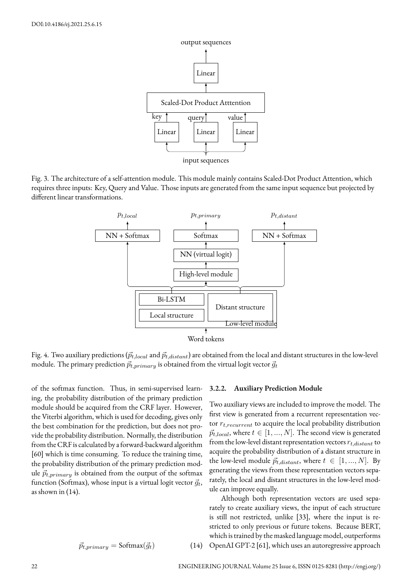

Fig. 3. The architecture of a self-attention module. This module mainly contains Scaled-Dot Product Attention, which requires three inputs: Key, Query and Value. Those inputs are generated from the same input sequence but projected by different linear transformations.



Fig. 4. Two auxiliary predictions ( $\vec{p}_{t,local}$  and  $\vec{p}_{t,distant}$ ) are obtained from the local and distant structures in the low-level module. The primary prediction  $\vec{p}_{t,primary}$  is obtained from the virtual logit vector  $\vec{g}_t$ 

of the softmax function. Thus, in semi-supervised learning, the probability distribution of the primary prediction module should be acquired from the CRF layer. However, the Viterbi algorithm, which is used for decoding, gives only the best combination for the prediction, but does not provide the probability distribution. Normally, the distribution from the CRF is calculated by a forward-backward algorithm [60] which is time consuming. To reduce the training time, the probability distribution of the primary prediction module  $\vec{p}_{t,primary}$  is obtained from the output of the softmax function (Softmax), whose input is a virtual logit vector  $\vec{g}_t$ , as shown in (14).

$$
\vec{p}_{t,primary} = \text{Softmax}(\vec{g}_t) \tag{14}
$$

#### **3.2.2. Auxiliary Prediction Module**

Two auxiliary views are included to improve the model. The first view is generated from a recurrent representation vector *rt,recurrent* to acquire the local probability distribution  $\vec{p}_{t,local}$ , where  $t \in [1, ..., N]$ . The second view is generated from the low-level distant representation vectors *rt,distant* to acquire the probability distribution of a distant structure in the low-level module  $\vec{p}_{t,distant}$ , where  $t \in [1, ..., N]$ . By generating the views from these representation vectors separately, the local and distant structures in the low-level module can improve equally.

Although both representation vectors are used separately to create auxiliary views, the input of each structure is still not restricted, unlike [33], where the input is restricted to only previous or future tokens. Because BERT, which is trained by the masked language model, outperforms (14) OpenAI GPT-2 [61], which uses an autoregressive approach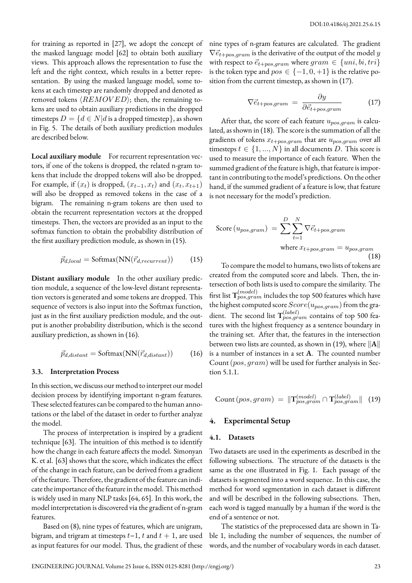for training as reported in [27], we adopt the concept of the masked language model [62] to obtain both auxiliary views. This approach allows the representation to fuse the left and the right context, which results in a better representation. By using the masked language model, some tokens at each timestep are randomly dropped and denoted as removed tokens *⟨REMOV ED⟩*; then, the remaining tokens are used to obtain auxiliary predictions in the dropped timesteps  $D = \{d \in N | d$  is a dropped timestep}, as shown in Fig. 5. The details of both auxiliary prediction modules are described below.

Local auxiliary module For recurrent representation vectors, if one of the tokens is dropped, the related n-gram tokens that include the dropped tokens will also be dropped. For example, if  $(x_t)$  is dropped,  $(x_{t-1}, x_t)$  and  $(x_t, x_{t+1})$ will also be dropped as removed tokens in the case of a bigram. The remaining n-gram tokens are then used to obtain the recurrent representation vectors at the dropped timesteps. Then, the vectors are provided as an input to the softmax function to obtain the probability distribution of the first auxiliary prediction module, as shown in (15).

$$
\vec{p}_{d,local} = \text{Softmax}(NN(\vec{r}_{d,recurrent})) \tag{15}
$$

**Distant auxiliary module** In the other auxiliary prediction module, a sequence of the low-level distant representation vectors is generated and some tokens are dropped. This sequence of vectors is also input into the Softmax function, just as in the first auxiliary prediction module, and the output is another probability distribution, which is the second auxiliary prediction, as shown in (16).

$$
\vec{p}_{d,distant} = \text{Softmax}(NN(\vec{r}_{d,distant})) \tag{16}
$$

#### **3.3. Interpretation Process**

In this section, we discuss our method to interpret our model decision process by identifying important n-gram features. These selected features can be compared to the human annotations or the label of the dataset in order to further analyze the model.

The process of interpretation is inspired by a gradient technique [63]. The intuition of this method is to identify how the change in each feature affects the model. Simonyan K. et al. [63] shows that the score, which indicates the effect of the change in each feature, can be derived from a gradient of the feature. Therefore, the gradient of the feature can indicate the importance of the feature in the model. This method is widely used in many NLP tasks [64, 65]. In this work, the model interpretation is discovered via the gradient of n-gram features.

Based on (8), nine types of features, which are unigram, bigram, and trigram at timesteps *t*−1, *t* and *t* + 1, are used as input features for our model. Thus, the gradient of these

nine types of n-gram features are calculated. The gradient  $\nabla \vec{e}_{t+pos,gram}$  is the derivative of the output of the model *y* with respect to  $\vec{e}_{t+pos,gram}$  where  $gram \in \{uni, bi, tri\}$ is the token type and  $pos \in \{-1, 0, +1\}$  is the relative position from the current timestep, as shown in (17).

$$
\nabla \vec{e}_{t+pos,gram} = \frac{\partial y}{\partial \vec{e}_{t+pos,gram}} \tag{17}
$$

After that, the score of each feature *upos,gram* is calculated, as shown in (18). The score is the summation of all the gradients of tokens *xt*+*pos,gram* that are *upos,gram* over all timesteps  $t \in \{1, ..., N\}$  in all documents *D*. This score is used to measure the importance of each feature. When the summed gradient of the feature is high, that feature is important in contributing to the model's predictions. On the other hand, if the summed gradient of a feature is low, that feature is not necessary for the model's prediction.

$$
\text{Score}(u_{pos,gram}) = \sum_{t=1}^{D} \sum_{t=1}^{N} \nabla \vec{e}_{t+pos,gram}
$$
\n
$$
\text{where } x_{t+pos,gram} = u_{pos,gram} \tag{18}
$$

To compare the model to humans, two lists of tokens are created from the computed score and labels. Then, the intersection of both lists is used to compare the similarity. The first list **T** (*model*) *pos,gram* includes the top 500 features which have the highest computed score  $Score(u_{pos,gram})$  from the gradient. The second list **T** (*label*) *pos,gram* contains of top 500 features with the highest frequency as a sentence boundary in the training set. After that, the features in the intersection between two lists are counted, as shown in (19), where *∥***A***∥* is a number of instances in a set **A**. The counted number Count(*pos, gram*) will be used for further analysis in Section 5.1.1.

Count 
$$
(pos, gram)
$$
 =  $||T_{pos,gram}^{(model)} \cap T_{pos,gram}^{(label)}$  (19)

# **4. Experimental Setup**

#### **4.1. Datasets**

Two datasets are used in the experiments as described in the following subsections. The structure of the datasets is the same as the one illustrated in Fig. 1. Each passage of the datasets is segmented into a word sequence. In this case, the method for word segmentation in each dataset is different and will be described in the following subsections. Then, each word is tagged manually by a human if the word is the end of a sentence or not.

The statistics of the preprocessed data are shown in Table 1, including the number of sequences, the number of words, and the number of vocabulary words in each dataset.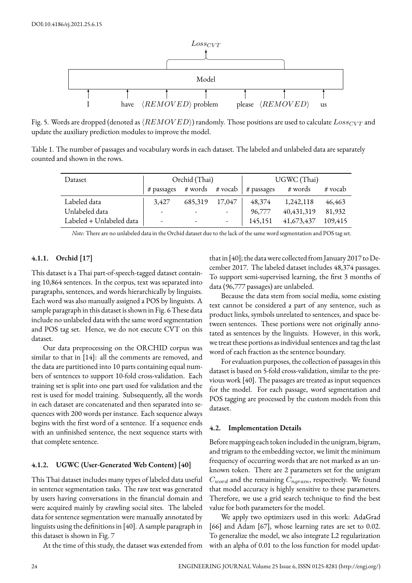

Fig. 5. Words are dropped (denoted as *⟨REMOV ED⟩*) randomly. Those positions are used to calculate *LossCV T* and update the auxiliary prediction modules to improve the model.

Table 1. The number of passages and vocabulary words in each dataset. The labeled and unlabeled data are separately counted and shown in the rows.

| Dataset                  |       | Orchid (Thai)            |                | UGWC (Thai) |              |         |  |  |
|--------------------------|-------|--------------------------|----------------|-------------|--------------|---------|--|--|
|                          |       |                          |                |             | # words      | # vocab |  |  |
| Labeled data             | 3.427 | 685,319                  | 17,047         | 48,374      | 1,242,118    | 46,463  |  |  |
| Unlabeled data           |       | $\overline{\phantom{a}}$ | $\overline{a}$ | 96,777      | 40, 431, 319 | 81,932  |  |  |
| Labeled + Unlabeled data |       | $\overline{\phantom{a}}$ |                | 145,151     | 41,673,437   | 109,415 |  |  |

*Note:* There are no unlabeled data in the Orchid dataset due to the lack of the same word segmentation and POS tag set.

# **4.1.1. Orchid [17]**

This dataset is a Thai part-of-speech-tagged dataset containing 10,864 sentences. In the corpus, text was separated into paragraphs, sentences, and words hierarchically by linguists. Each word was also manually assigned a POS by linguists. A sample paragraph in this dataset is shown in Fig. 6 These data include no unlabeled data with the same word segmentation and POS tag set. Hence, we do not execute CVT on this dataset.

Our data preprocessing on the ORCHID corpus was similar to that in [14]: all the comments are removed, and the data are partitioned into 10 parts containing equal numbers of sentences to support 10-fold cross-validation. Each training set is split into one part used for validation and the rest is used for model training. Subsequently, all the words in each dataset are concatenated and then separated into sequences with 200 words per instance. Each sequence always begins with the first word of a sentence. If a sequence ends with an unfinished sentence, the next sequence starts with that complete sentence.

# **4.1.2. UGWC (User-Generated Web Content) [40]**

This Thai dataset includes many types of labeled data useful in sentence segmentation tasks. The raw text was generated by users having conversations in the financial domain and were acquired mainly by crawling social sites. The labeled data for sentence segmentation were manually annotated by linguists using the definitions in [40]. A sample paragraph in this dataset is shown in Fig. 7

At the time of this study, the dataset was extended from

that in [40]; the datawere collected from January 2017 to December 2017. The labeled dataset includes 48,374 passages. To support semi-supervised learning, the first 3 months of data (96,777 passages) are unlabeled.

Because the data stem from social media, some existing text cannot be considered a part of any sentence, such as product links, symbols unrelated to sentences, and space between sentences. These portions were not originally annotated as sentences by the linguists. However, in this work, we treat these portions as individual sentences and tag the last word of each fraction as the sentence boundary.

For evaluation purposes, the collection of passages in this dataset is based on 5-fold cross-validation, similar to the previous work [40]. The passages are treated as input sequences for the model. For each passage, word segmentation and POS tagging are processed by the custom models from this dataset.

#### **4.2. Implementation Details**

Before mapping each token included in the unigram, bigram, and trigram to the embedding vector, we limit the minimum frequency of occurring words that are not marked as an unknown token. There are 2 parameters set for the unigram *Cword* and the remaining *Cngram*, respectively. We found that model accuracy is highly sensitive to these parameters. Therefore, we use a grid search technique to find the best value for both parameters for the model.

We apply two optimizers used in this work: AdaGrad [66] and Adam [67], whose learning rates are set to 0.02. To generalize the model, we also integrate L2 regularization with an alpha of 0.01 to the loss function for model updat-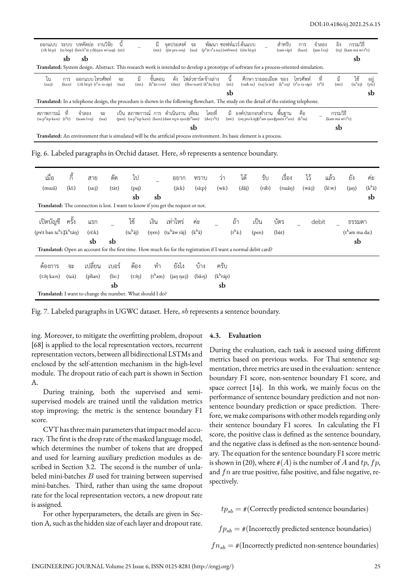| ออกแบบ<br>$(x:k b\hat{c}:p)$                                                                                             |               | ระบบ บทคัดย่อ        | งานวิจัย<br>(ra bòp) (bòt k <sup>h</sup> át yɔ̃)(na:n wí tɕaj) (ní:)                                                                      |             |                                                                                                                      | ม้<br>(mi)                           | จดประสงค์<br>$(i)$ (i $i$ prason) | จะ<br>(tsa) | $(ph$ át t <sup>h</sup> a na:) (spftwes) (tôn bè:p)                   | พัฒนา ซอฟท์แวร์ ต้นแบบ |                                                                                                                                                              |                        | สำหรับ<br>(sam ráp) | การ<br>(ka:n)                                                                                                                                                                                        | จำลอง<br>$(iam \, \text{ls:}\eta)$ | อิง                         | กรรมวิธี<br>$(i\eta)$ (kam má wí t <sup>h</sup> i:) |                  |
|--------------------------------------------------------------------------------------------------------------------------|---------------|----------------------|-------------------------------------------------------------------------------------------------------------------------------------------|-------------|----------------------------------------------------------------------------------------------------------------------|--------------------------------------|-----------------------------------|-------------|-----------------------------------------------------------------------|------------------------|--------------------------------------------------------------------------------------------------------------------------------------------------------------|------------------------|---------------------|------------------------------------------------------------------------------------------------------------------------------------------------------------------------------------------------------|------------------------------------|-----------------------------|-----------------------------------------------------|------------------|
|                                                                                                                          | sb            | sb                   |                                                                                                                                           |             |                                                                                                                      |                                      |                                   |             |                                                                       |                        |                                                                                                                                                              |                        |                     |                                                                                                                                                                                                      |                                    |                             | sb                                                  |                  |
|                                                                                                                          |               |                      | Translated: System design. Abstract. This research work is intended to develop a prototype of software for a process-oriented simulation. |             |                                                                                                                      |                                      |                                   |             |                                                                       |                        |                                                                                                                                                              |                        |                     |                                                                                                                                                                                                      |                                    |                             |                                                     |                  |
| ไน<br>(nai)                                                                                                              | การ<br>(ka:n) | ้ออกแบบ โทรศัพท์     | $(x)$ k bè:p) $(t^h$ o: ra sáp)                                                                                                           | จะ<br>(tsa) | มี<br>(mi)                                                                                                           | ขั้นตอน<br>(k <sup>h</sup> ân tə: n) | ดัง<br>(dan)                      |             | โฟล์วชาร์ด ข้างล่าง<br>(floo teart) $(k^h \hat{a} \eta \hat{a} \eta)$ | นี้<br>$(n$ í: $)$     |                                                                                                                                                              | ์ศึกษา รายละเอียด  ของ |                     | โทรศัพท์<br>(suík sa:) $(\text{ra:} \text{ a } \text{ i} \text{ a } \text{ i} \text{ a})$ $(\text{k}^{\text{h}} \text{on})$ $(\text{t}^{\text{h}} \text{o:} \text{ ra} \text{ s} \text{a} \text{p})$ | ที<br>$(t^h$ î)                    | Ĵ.<br>(mi)                  | ใช้<br>$(t\epsilon^h$ á:j)                          | อยู่<br>$(y\)$ : |
|                                                                                                                          |               |                      |                                                                                                                                           |             |                                                                                                                      |                                      |                                   |             |                                                                       | sb                     |                                                                                                                                                              |                        |                     |                                                                                                                                                                                                      |                                    |                             |                                                     | sb               |
|                                                                                                                          |               |                      | Translated: In a telephone design, the procedure is shown in the following flowchart. The study on the detail of the existing telephone.  |             |                                                                                                                      |                                      |                                   |             |                                                                       |                        |                                                                                                                                                              |                        |                     |                                                                                                                                                                                                      |                                    |                             |                                                     |                  |
| ิสภาพการณ์ ที่<br>$(sa phâ: p ka:n)$ $(thî:)$                                                                            |               | จำลอง<br>(tɕam lɔːn) | จะ<br>(tsa)                                                                                                                               |             | ้เป็น สภาพการณ์ การ ดำเนินงาน เทียม<br>(pen) (sa p <sup>h</sup> â:p ka:n) (ka:n) (dam ny:n na:n)(t <sup>h</sup> iam) |                                      |                                   |             | โดยที่<br>$(d_{0}:j t^h i!)$                                          | (mi)                   | มี องค์ประกอบทำงาน พื้นฐาน<br>$\frac{\log \frac{1}{n}}{\log \frac{1}{n}}$ (on pra koʻq) $\frac{1}{n}$ am na:n) putin t <sup>h</sup> a:n) (k <sup>h</sup> uu) |                        |                     | คือ                                                                                                                                                                                                  |                                    | กรรมวิธี<br>(kam má wí th:) |                                                     |                  |
|                                                                                                                          |               |                      |                                                                                                                                           |             |                                                                                                                      |                                      |                                   | sb          |                                                                       |                        |                                                                                                                                                              |                        |                     |                                                                                                                                                                                                      |                                    | sb                          |                                                     |                  |
| Translated: An environment that is simulated will be the artificial process environment. Its basic element is a process. |               |                      |                                                                                                                                           |             |                                                                                                                      |                                      |                                   |             |                                                                       |                        |                                                                                                                                                              |                        |                     |                                                                                                                                                                                                      |                                    |                             |                                                     |                  |

Fig. 6. Labeled paragraphs in Orchid dataset. Here, *sb* represents a sentence boundary.

| เมื่อ<br>(muia)                                                                                                  | ก้<br>(ki) | สาย<br>(sai)          | ตัด<br>(tàt)     | ไป<br>(paj)               |                  | อยาก<br>(ià: k)                         | ทราบ<br>(sâ:p)    | ว่า<br>(wâ:         | ได้<br>(dâj)    | รับ<br>(ráb) | เรื่อง<br>(ruiân) | ไว้<br>(w4:j) | แล้ว<br>$(l\acute{\epsilon}:w)$ | ยัง<br>(jap)               | ค่ะ<br>(k <sup>h</sup> â) |
|------------------------------------------------------------------------------------------------------------------|------------|-----------------------|------------------|---------------------------|------------------|-----------------------------------------|-------------------|---------------------|-----------------|--------------|-------------------|---------------|---------------------------------|----------------------------|---------------------------|
| Translated: The connection is lost. I want to know if you get the request or not.                                |            |                       |                  | sb                        | sb               |                                         |                   |                     |                 |              |                   |               |                                 |                            | sb                        |
| เปิดบัญชี                                                                                                        | ครั้ง      | แรก                   |                  | ใช้                       | เงิน             | เท่าไหร่                                | ค่ะ               |                     | ถ้า             | เป็น         | บัตร              | debit         |                                 | ธรรมดา                     |                           |
| (pv:t ban tchi:)(khtán)                                                                                          |            | $(r\hat{\epsilon}:k)$ |                  | $(t\epsilon^h\acute{a}j)$ | $(\eta x n)$     | $(t\epsilon^{\text{h}}\text{āw r\`a}j)$ | $(kh\hat{a})$     |                     | $(t^h \hat{a})$ | (pen)        | $(b\dot{a}t)$     |               |                                 | (t <sup>h</sup> am ma da.) |                           |
| Translated: Open an account for the first time. How much fee for the registration if I want a normal debit card? |            | sb                    | sb               |                           |                  |                                         |                   |                     |                 |              |                   |               |                                 | sb                         |                           |
| ต้องการ                                                                                                          | จะ         | เปลี่ยน               | เบอร์            | ต้อง                      | ทำ               | ยังไง                                   | บ้าง              | ครับ                |                 |              |                   |               |                                 |                            |                           |
| (tớn ka:n)                                                                                                       | (tɕà)      | (plian)               | $(b\varepsilon)$ | $(t$ cîn                  | $(t^{\rm h}$ am) | (jaŋ ŋaːj)                              | $(b\hat{a}:\eta)$ | $(k^h r\acute{a}p)$ |                 |              |                   |               |                                 |                            |                           |
|                                                                                                                  |            |                       | sb               |                           |                  |                                         |                   | sb                  |                 |              |                   |               |                                 |                            |                           |
| Translated: I want to change the number. What should I do?                                                       |            |                       |                  |                           |                  |                                         |                   |                     |                 |              |                   |               |                                 |                            |                           |

Fig. 7. Labeled paragraphs in UGWC dataset. Here, *sb* represents a sentence boundary.

ing. Moreover, to mitigate the overfitting problem, dropout [68] is applied to the local representation vectors, recurrent representation vectors, between all bidirectional LSTMs and enclosed by the self-attention mechanism in the high-level module. The dropout ratio of each part is shown in Section A.

During training, both the supervised and semisupervised models are trained until the validation metrics stop improving; the metric is the sentence boundary F1 score.

CVT has three main parameters that impact model accuracy. The first is the drop rate of the masked language model, which determines the number of tokens that are dropped and used for learning auxiliary prediction modules as described in Section 3.2. The second is the number of unlabeled mini-batches *B* used for training between supervised mini-batches. Third, rather than using the same dropout rate for the local representation vectors, a new dropout rate is assigned.

For other hyperparameters, the details are given in Section A, such as the hidden size of each layer and dropout rate.

#### **4.3. Evaluation**

During the evaluation, each task is assessed using different metrics based on previous works. For Thai sentence segmentation, three metrics are used in the evaluation: sentence boundary F1 score, non-sentence boundary F1 score, and space correct [14]. In this work, we mainly focus on the performance of sentence boundary prediction and not nonsentence boundary prediction or space prediction. Therefore, we make comparisons with other models regarding only their sentence boundary F1 scores. In calculating the F1 score, the positive class is defined as the sentence boundary, and the negative class is defined as the non-sentence boundary. The equation for the sentence boundary F1 score metric is shown in (20), where  $#(A)$  is the number of *A* and  $tp$ ,  $fp$ , and *fn* are true positive, false positive, and false negative, respectively.

 $tp_{sb} = #$ (Correctly predicted sentence boundaries)

 $fp_{sb} = \#(\text{Incorrectly predicted sentence boundaries})$ 

 $fn_{sb} = #$ (Incorrectly predicted non-sentence boundaries)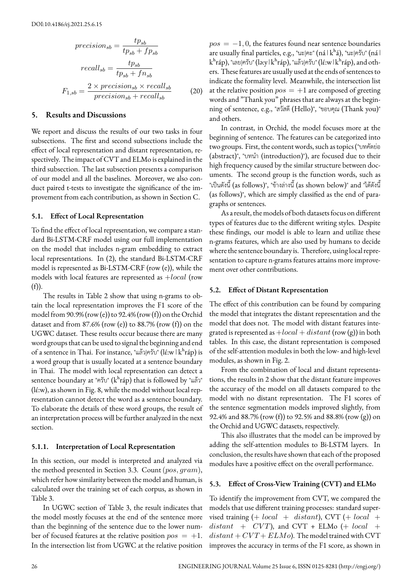$$
precision_{sb} = \frac{tp_{sb}}{tp_{sb} + fp_{sb}}
$$

$$
recall_{sb} = \frac{tp_{sb}}{tp_{sb} + fn_{sb}}
$$

$$
F_{1,sb} = \frac{2 \times precision_{sb} \times recall_{sb}}{precision_{sb} + recall_{sb}}
$$
(20)

# **5. Results and Discussions**

We report and discuss the results of our two tasks in four subsections. The first and second subsections include the effect of local representation and distant representation, respectively. The impact of CVT and ELMo is explained in the third subsection. The last subsection presents a comparison of our model and all the baselines. Moreover, we also conduct paired t-tests to investigate the significance of the improvement from each contribution, as shown in Section C.

### **5.1. Effect of Local Representation**

To find the effect of local representation, we compare a standard Bi-LSTM-CRF model using our full implementation on the model that includes n-gram embedding to extract local representations. In (2), the standard Bi-LSTM-CRF model is represented as Bi-LSTM-CRF (row (e)), while the models with local features are represented as +*local* (row  $(f)$ ).

The results in Table 2 show that using n-grams to obtain the local representation improves the F1 score of the model from 90.9% (row (e)) to 92.4% (row (f)) on the Orchid dataset and from  $87.6\%$  (row (e)) to  $88.7\%$  (row (f)) on the UGWC dataset. These results occur because there are many word groups that can be used to signal the beginning and end of a sentence in Thai. For instance, "แล้ว $|\hat{\eta}|$ ทีบ" (lɛ́ːw  $|k^h$ ráp) is a word group that is usually located at a sentence boundary in Thai. The model with local representation can detect a sentence boundary at "ครับ" ( $k^h$ ráp) that is followed by "แล้ว" (lɛ́ ːw), as shown in Fig. 8, while the model without local representation cannot detect the word as a sentence boundary. To elaborate the details of these word groups, the result of an interpretation process will be further analyzed in the next section.

### **5.1.1. Interpretation of Local Representation**

In this section, our model is interpreted and analyzed via the method presented in Section 3.3. Count(*pos, gram*), which refer how similarity between the model and human, is calculated over the training set of each corpus, as shown in Table 3.

In UGWC section of Table 3, the result indicates that the model mostly focuses at the end of the sentence more than the beginning of the sentence due to the lower number of focused features at the relative position  $pos = +1$ . In the intersection list from UGWC at the relative position

 $pos = -1, 0$ , the features found near sentence boundaries are usually final particles, e.g., "นะ $|e^*|$  (ná  $|k^h i|$ ), "นะ $|e^* j|$  (ná  $|$  $k<sup>h</sup>$ ráp), "เลย|ครับ" (ləːy  $|k<sup>h</sup>$ ráp), "แล้ว|ครับ" (lɛ́ːw  $|k<sup>h</sup>$ ráp), and others. These features are usually used at the ends of sentences to indicate the formality level. Meanwhile, the intersection list at the relative position  $pos = +1$  are composed of greeting words and "Thank you" phrases that are always at the beginning of sentence, e.g., "สวัสดี(Hello)", "ขอบคุณ (Thank you)" and others.

In contrast, in Orchid, the model focuses more at the beginning of sentence. The features can be categorized into two groups. First, the content words, such as topics ("บทคัดย่อ (abstract)", "บทนํา (introduction)"), are focused due to their high frequency caused by the similar structure between documents. The second group is the function words, such as "เป็นดังนี้(as follows)", "ข้างล่างนี้(as shown below)" and "ได้ดังนี้ (as follows)", which are simply classified as the end of paragraphs or sentences.

As a result, the models of both datasets focus on different types of features due to the different writing styles. Despite these findings, our model is able to learn and utilize these n-grams features, which are also used by humans to decide where the sentence boundary is. Therefore, using local representation to capture n-grams features attains more improvement over other contributions.

### **5.2. Effect of Distant Representation**

The effect of this contribution can be found by comparing the model that integrates the distant representation and the model that does not. The model with distant features integrated is represented as +*local* + *distant* (row (g)) in both tables. In this case, the distant representation is composed of the self-attention modules in both the low- and high-level modules, as shown in Fig. 2.

From the combination of local and distant representations, the results in 2 show that the distant feature improves the accuracy of the model on all datasets compared to the model with no distant representation. The F1 scores of the sentence segmentation models improved slightly, from 92.4% and 88.7% (row (f)) to 92.5% and 88.8% (row (g)) on the Orchid and UGWC datasets, respectively.

This also illustrates that the model can be improved by adding the self-attention modules to Bi-LSTM layers. In conclusion, the results have shown that each of the proposed modules have a positive effect on the overall performance.

### **5.3. Effect of Cross-View Training (CVT) and ELMo**

To identify the improvement from CVT, we compared the models that use different training processes: standard supervised training (+ *local* + *distant*), CVT (+ *local* +  $distant + CVT$ , and  $CVT + ELMo$  (+ *local* +  $distant + CVT + ELMo$ . The model trained with CVT improves the accuracy in terms of the F1 score, as shown in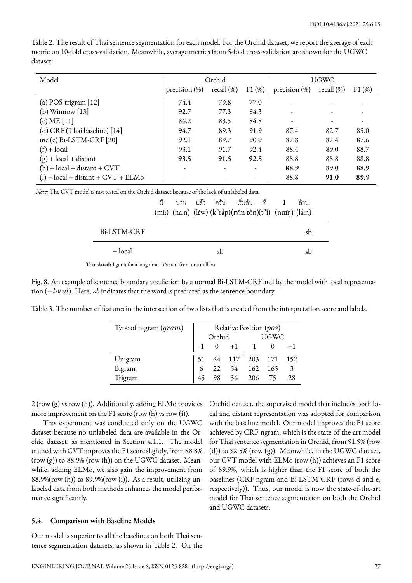| Model                                |                  | Orchid        |                          | UGWC                     |               |       |  |
|--------------------------------------|------------------|---------------|--------------------------|--------------------------|---------------|-------|--|
|                                      | precision $(\%)$ | recall $(\%)$ | F1(%)                    | precision $(\%)$         | recall $(\%)$ | F1(%) |  |
| (a) POS-trigram $[12]$               | 74.4             | 79.8          | 77.0                     |                          |               |       |  |
| (b) Winnow $[13]$                    | 92.7             | 77.3          | 84.3                     | $\overline{\phantom{a}}$ |               |       |  |
| (c) $ME [11]$                        | 86.2             | 83.5          | 84.8                     | $\overline{\phantom{a}}$ |               |       |  |
| (d) CRF (Thai baseline) [14]         | 94.7             | 89.3          | 91.9                     | 87.4                     | 82.7          | 85.0  |  |
| ine (e) Bi-LSTM-CRF [20]             | 92.1             | 89.7          | 90.9                     | 87.8                     | 87.4          | 87.6  |  |
| $(f) + local$                        | 93.1             | 91.7          | 92.4                     | 88.4                     | 89.0          | 88.7  |  |
| $(g)$ + local + distant              | 93.5             | 91.5          | 92.5                     | 88.8                     | 88.8          | 88.8  |  |
| $(h)$ + local + distant + CVT        |                  |               | $\overline{\phantom{a}}$ | 88.9                     | 89.0          | 88.9  |  |
| $(i) + local + distant + CVT + ELMo$ |                  |               | -                        | 88.8                     | 91.0          | 89.9  |  |

Table 2. The result of Thai sentence segmentation for each model. For the Orchid dataset, we report the average of each metric on 10-fold cross-validation. Meanwhile, average metrics from 5-fold cross-validation are shown for the UGWC dataset.

*Note:* The CVT model is not tested on the Orchid dataset because of the lack of unlabeled data.

|                          | มี |  |    | นาน แล้ว ครับ เริ่มต้น ที่  1                                                     |  | ้ล้าน |  |
|--------------------------|----|--|----|-----------------------------------------------------------------------------------|--|-------|--|
|                          |    |  |    | (mi:) (na:n) (léw) (k <sup>h</sup> ráp)(rxîm tôn)(t <sup>h</sup> î) (nuin) (lá:n) |  |       |  |
| B <sub>i</sub> -LSTM-CRF |    |  |    |                                                                                   |  | sb    |  |
| + local                  |    |  | sb |                                                                                   |  | sb    |  |

**Translated:** I got it for a long time. It's start from one million.

Fig. 8. An example of sentence boundary prediction by a normal Bi-LSTM-CRF and by the model with local representation (+*local*). Here, *sb* indicates that the word is predicted as the sentence boundary.

Table 3. The number of features in the intersection of two lists that is created from the interpretation score and labels.

| Type of n-gram $(gram)$ | Relative Position (pos) |          |      |                       |    |      |  |
|-------------------------|-------------------------|----------|------|-----------------------|----|------|--|
|                         | Orchid                  |          |      | <b>UGWC</b>           |    |      |  |
|                         |                         | $\Omega$ | $+1$ | $-1$                  |    | $+1$ |  |
| Unigram                 |                         |          |      | 51 64 117 203 171 152 |    |      |  |
| Bigram                  | 6                       | 22       | 54   | 162 165               |    |      |  |
| Trigram                 |                         | 98       | 56   | 206                   | 75 | 28   |  |

2 (row (g) vs row (h)). Additionally, adding ELMo provides more improvement on the F1 score (row (h) vs row (i)).

This experiment was conducted only on the UGWC dataset because no unlabeled data are available in the Orchid dataset, as mentioned in Section 4.1.1. The model trained with CVT improves the F1 score slightly, from 88.8% (row  $(g)$ ) to 88.9% (row  $(h)$ ) on the UGWC dataset. Meanwhile, adding ELMo, we also gain the improvement from 88.9%(row (h)) to 89.9%(row (i)). As a result, utilizing unlabeled data from both methods enhances the model performance significantly.

# **5.4. Comparison with Baseline Models**

Our model is superior to all the baselines on both Thai sentence segmentation datasets, as shown in Table 2. On the Orchid dataset, the supervised model that includes both local and distant representation was adopted for comparison with the baseline model. Our model improves the F1 score achieved by CRF-ngram, which is the state-of-the-art model for Thai sentence segmentation in Orchid, from 91.9% (row (d)) to 92.5% (row (g)). Meanwhile, in the UGWC dataset, our CVT model with ELMo (row (h)) achieves an F1 score of 89.9%, which is higher than the F1 score of both the baselines (CRF-ngram and Bi-LSTM-CRF (rows d and e, respectively)). Thus, our model is now the state-of-the-art model for Thai sentence segmentation on both the Orchid and UGWC datasets.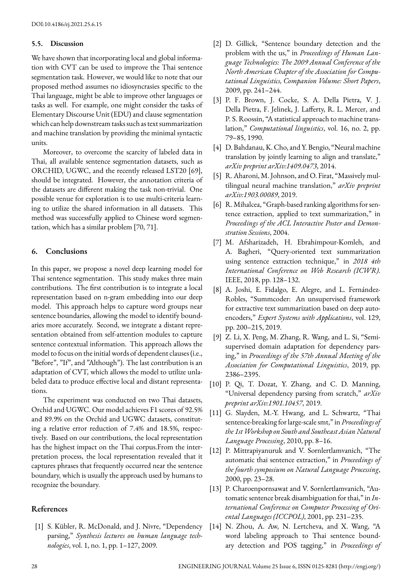#### **5.5. Discussion**

We have shown that incorporating local and global information with CVT can be used to improve the Thai sentence segmentation task. However, we would like to note that our proposed method assumes no idiosyncrasies specific to the Thai language, might be able to improve other languages or tasks as well. For example, one might consider the tasks of Elementary Discourse Unit (EDU) and clause segmentation which can help downstream tasks such as text summarization and machine translation by providing the minimal syntactic units.

Moreover, to overcome the scarcity of labeled data in Thai, all available sentence segmentation datasets, such as ORCHID, UGWC, and the recently released LST20 [69], should be integrated. However, the annotation criteria of the datasets are different making the task non-trivial. One possible venue for exploration is to use multi-criteria learning to utilize the shared information in all datasets. This method was successfully applied to Chinese word segmentation, which has a similar problem [70, 71].

### **6. Conclusions**

In this paper, we propose a novel deep learning model for Thai sentence segmentation. This study makes three main contributions. The first contribution is to integrate a local representation based on n-gram embedding into our deep model. This approach helps to capture word groups near sentence boundaries, allowing the model to identify boundaries more accurately. Second, we integrate a distant representation obtained from self-attention modules to capture sentence contextual information. This approach allows the model to focus on the initial words of dependent clauses (i.e., "Before", "If", and "Although"). The last contribution is an adaptation of CVT, which allows the model to utilize unlabeled data to produce effective local and distant representations.

The experiment was conducted on two Thai datasets, Orchid and UGWC. Our model achieves F1 scores of 92.5% and 89.9% on the Orchid and UGWC datasets, constituting a relative error reduction of 7.4% and 18.5%, respectively. Based on our contributions, the local representation has the highest impact on the Thai corpus.From the interpretation process, the local representation revealed that it captures phrases that frequently occurred near the sentence boundary, which is usually the approach used by humans to recognize the boundary.

# **References**

[1] S. Kübler, R. McDonald, and J. Nivre, "Dependency parsing," *Synthesis lectures on human language technologies*, vol. 1, no. 1, pp. 1–127, 2009.

- [2] D. Gillick, "Sentence boundary detection and the problem with the us," in *Proceedings of Human Language Technologies: The 2009 Annual Conference of the North American Chapter of the Association for Computational Linguistics, Companion Volume: Short Papers*, 2009, pp. 241–244.
- [3] P. F. Brown, J. Cocke, S. A. Della Pietra, V. J. Della Pietra, F. Jelinek, J. Lafferty, R. L. Mercer, and P. S. Roossin, "A statistical approach to machine translation," *Computational linguistics*, vol. 16, no. 2, pp. 79–85, 1990.
- [4] D. Bahdanau, K. Cho, and Y. Bengio, "Neural machine translation by jointly learning to align and translate," *arXiv preprint arXiv:1409.0473*, 2014.
- [5] R. Aharoni, M. Johnson, and O. Firat, "Massively multilingual neural machine translation," *arXiv preprint arXiv:1903.00089*, 2019.
- [6] R. Mihalcea, "Graph-based ranking algorithms for sentence extraction, applied to text summarization," in *Proceedings of the ACL Interactive Poster and Demonstration Sessions*, 2004.
- [7] M. Afsharizadeh, H. Ebrahimpour-Komleh, and A. Bagheri, "Query-oriented text summarization using sentence extraction technique," in *2018 4th International Conference on Web Research (ICWR)*. IEEE, 2018, pp. 128–132.
- [8] A. Joshi, E. Fidalgo, E. Alegre, and L. Fernández-Robles, "Summcoder: An unsupervised framework for extractive text summarization based on deep autoencoders," *Expert Systems with Applications*, vol. 129, pp. 200–215, 2019.
- [9] Z. Li, X. Peng, M. Zhang, R. Wang, and L. Si, "Semisupervised domain adaptation for dependency parsing," in *Proceedings of the 57th Annual Meeting of the Association for Computational Linguistics*, 2019, pp. 2386–2395.
- [10] P. Qi, T. Dozat, Y. Zhang, and C. D. Manning, "Universal dependency parsing from scratch," *arXiv preprint arXiv:1901.10457*, 2019.
- [11] G. Slayden, M.-Y. Hwang, and L. Schwartz, "Thai sentence-breaking for large-scale smt," in *Proceedings of the 1stWorkshop on South and Southeast Asian Natural Language Processing*, 2010, pp. 8–16.
- [12] P. Mittrapiyanuruk and V. Sornlertlamvanich, "The automatic thai sentence extraction," in *Proceedings of the fourth symposium on Natural Language Processing*, 2000, pp. 23–28.
- [13] P. Charoenpornsawat and V. Sornlertlamvanich, "Automatic sentence break disambiguation for thai," in *International Conference on Computer Processing of Oriental Languages (ICCPOL)*, 2001, pp. 231–235.
- [14] N. Zhou, A. Aw, N. Lertcheva, and X. Wang, "A word labeling approach to Thai sentence boundary detection and POS tagging," in *Proceedings of*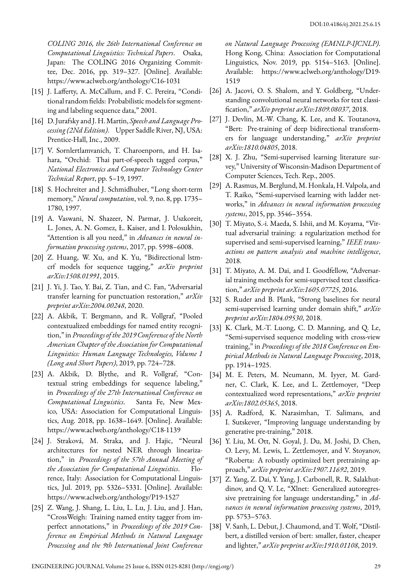*COLING 2016, the 26th International Conference on Computational Linguistics: Technical Papers*. Osaka, Japan: The COLING 2016 Organizing Committee, Dec. 2016, pp. 319–327. [Online]. Available: https://www.aclweb.org/anthology/C16-1031

- [15] J. Lafferty, A. McCallum, and F. C. Pereira, "Conditional random fields: Probabilistic models for segmenting and labeling sequence data," 2001.
- [16] D. Jurafsky and J. H. Martin, *Speech and Language Processing (2Nd Edition)*. Upper Saddle River, NJ, USA: Prentice-Hall, Inc., 2009.
- [17] V. Sornlertlamvanich, T. Charoenporn, and H. Isahara, "Orchid: Thai part-of-speech tagged corpus," *National Electronics and Computer Technology Center Technical Report*, pp. 5–19, 1997.
- [18] S. Hochreiter and J. Schmidhuber, "Long short-term memory," *Neural computation*, vol. 9, no. 8, pp. 1735– 1780, 1997.
- [19] A. Vaswani, N. Shazeer, N. Parmar, J. Uszkoreit, L. Jones, A. N. Gomez, Ł. Kaiser, and I. Polosukhin, "Attention is all you need," in *Advances in neural information processing systems*, 2017, pp. 5998–6008.
- [20] Z. Huang, W. Xu, and K. Yu, "Bidirectional lstmcrf models for sequence tagging," *arXiv preprint arXiv:1508.01991*, 2015.
- [21] J. Yi, J. Tao, Y. Bai, Z. Tian, and C. Fan, "Adversarial transfer learning for punctuation restoration," *arXiv preprint arXiv:2004.00248*, 2020.
- [22] A. Akbik, T. Bergmann, and R. Vollgraf, "Pooled contextualized embeddings for named entity recognition," in *Proceedings of the 2019 Conference of the North American Chapter of the Association for Computational Linguistics: Human Language Technologies, Volume 1 (Long and Short Papers)*, 2019, pp. 724–728.
- [23] A. Akbik, D. Blythe, and R. Vollgraf, "Contextual string embeddings for sequence labeling," in *Proceedings of the 27th International Conference on Computational Linguistics*. Santa Fe, New Mexico, USA: Association for Computational Linguistics, Aug. 2018, pp. 1638–1649. [Online]. Available: https://www.aclweb.org/anthology/C18-1139
- [24] J. Straková, M. Straka, and J. Hajic, "Neural architectures for nested NER through linearization," in *Proceedings of the 57th Annual Meeting of the Association for Computational Linguistics*. Florence, Italy: Association for Computational Linguistics, Jul. 2019, pp. 5326–5331. [Online]. Available: https://www.aclweb.org/anthology/P19-1527
- [25] Z. Wang, J. Shang, L. Liu, L. Lu, J. Liu, and J. Han, "CrossWeigh: Training named entity tagger from imperfect annotations," in *Proceedings of the 2019 Conference on Empirical Methods in Natural Language Processing and the 9th International Joint Conference*

*on Natural Language Processing (EMNLP-IJCNLP)*. Hong Kong, China: Association for Computational Linguistics, Nov. 2019, pp. 5154–5163. [Online]. Available: https://www.aclweb.org/anthology/D19- 1519

- [26] A. Jacovi, O. S. Shalom, and Y. Goldberg, "Understanding convolutional neural networks for text classification," *arXiv preprint arXiv:1809.08037*, 2018.
- [27] J. Devlin, M.-W. Chang, K. Lee, and K. Toutanova, "Bert: Pre-training of deep bidirectional transformers for language understanding," *arXiv preprint arXiv:1810.04805*, 2018.
- [28] X. J. Zhu, "Semi-supervised learning literature survey," University of Wisconsin-Madison Department of Computer Sciences, Tech. Rep., 2005.
- [29] A. Rasmus, M. Berglund, M. Honkala, H. Valpola, and T. Raiko, "Semi-supervised learning with ladder networks," in *Advances in neural information processing systems*, 2015, pp. 3546–3554.
- [30] T. Miyato, S.-i. Maeda, S. Ishii, and M. Koyama, "Virtual adversarial training: a regularization method for supervised and semi-supervised learning," *IEEE transactions on pattern analysis and machine intelligence*, 2018.
- [31] T. Miyato, A. M. Dai, and I. Goodfellow, "Adversarial training methods for semi-supervised text classification," *arXiv preprint arXiv:1605.07725*, 2016.
- [32] S. Ruder and B. Plank, "Strong baselines for neural semi-supervised learning under domain shift," *arXiv preprint arXiv:1804.09530*, 2018.
- [33] K. Clark, M.-T. Luong, C. D. Manning, and Q. Le, "Semi-supervised sequence modeling with cross-view training," in *Proceedings of the 2018 Conference on Empirical Methods in Natural Language Processing*, 2018, pp. 1914–1925.
- [34] M. E. Peters, M. Neumann, M. Iyyer, M. Gardner, C. Clark, K. Lee, and L. Zettlemoyer, "Deep contextualized word representations," *arXiv preprint arXiv:1802.05365*, 2018.
- [35] A. Radford, K. Narasimhan, T. Salimans, and I. Sutskever, "Improving language understanding by generative pre-training," 2018.
- [36] Y. Liu, M. Ott, N. Goyal, J. Du, M. Joshi, D. Chen, O. Levy, M. Lewis, L. Zettlemoyer, and V. Stoyanov, "Roberta: A robustly optimized bert pretraining approach," *arXiv preprint arXiv:1907.11692*, 2019.
- [37] Z. Yang, Z. Dai, Y. Yang, J. Carbonell, R. R. Salakhutdinov, and Q. V. Le, "Xlnet: Generalized autoregressive pretraining for language understanding," in *Advances in neural information processing systems*, 2019, pp. 5753–5763.
- [38] V. Sanh, L. Debut, J. Chaumond, and T. Wolf, "Distilbert, a distilled version of bert: smaller, faster, cheaper and lighter," *arXiv preprint arXiv:1910.01108*, 2019.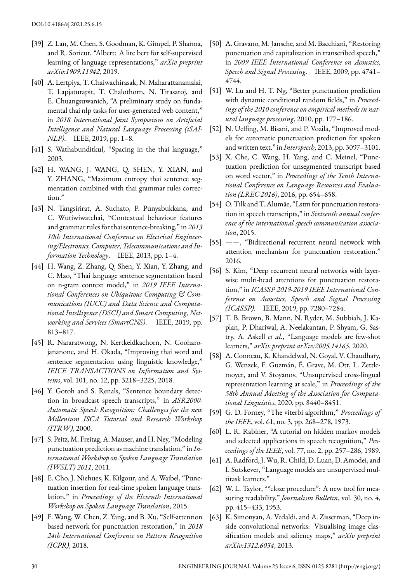- [39] Z. Lan, M. Chen, S. Goodman, K. Gimpel, P. Sharma, and R. Soricut, "Albert: A lite bert for self-supervised learning of language representations," *arXiv preprint arXiv:1909.11942*, 2019.
- [40] A. Lertpiya, T. Chaiwachirasak, N. Maharattanamalai, T. Lapjaturapit, T. Chalothorn, N. Tirasaroj, and E. Chuangsuwanich, "A preliminary study on fundamental thai nlp tasks for user-generated web content," in *2018 International Joint Symposium on Artificial Intelligence and Natural Language Processing (iSAI-NLP)*. IEEE, 2019, pp. 1–8.
- [41] S. Wathabunditkul, "Spacing in the thai language," 2003.
- [42] H. WANG, J. WANG, Q. SHEN, Y. XIAN, and Y. ZHANG, "Maximum entropy thai sentence segmentation combined with thai grammar rules correction."
- [43] N. Tangsirirat, A. Suchato, P. Punyabukkana, and C. Wutiwiwatchai, "Contextual behaviour features and grammar rules for thai sentence-breaking," in *2013 10th International Conference on Electrical Engineering/Electronics, Computer, Telecommunications and Information Technology*. IEEE, 2013, pp. 1–4.
- [44] H. Wang, Z. Zhang, Q. Shen, Y. Xian, Y. Zhang, and C. Mao, "Thai language sentence segmentation based on n-gram context model," in *2019 IEEE International Conferences on Ubiquitous Computing & Communications (IUCC) and Data Science and Computational Intelligence (DSCI) and Smart Computing, Networking and Services (SmartCNS)*. IEEE, 2019, pp. 813–817.
- [45] R. Nararatwong, N. Kertkeidkachorn, N. Cooharojananone, and H. Okada, "Improving thai word and sentence segmentation using linguistic knowledge," *IEICE TRANSACTIONS on Information and Systems*, vol. 101, no. 12, pp. 3218–3225, 2018.
- [46] Y. Gotoh and S. Renals, "Sentence boundary detection in broadcast speech transcripts," in *ASR2000- Automatic Speech Recognition: Challenges for the new Millenium ISCA Tutorial and Research Workshop (ITRW)*, 2000.
- [47] S. Peitz, M. Freitag, A. Mauser, and H. Ney, "Modeling punctuation prediction as machine translation," in *International Workshop on Spoken Language Translation (IWSLT) 2011*, 2011.
- [48] E. Cho, J. Niehues, K. Kilgour, and A. Waibel, "Punctuation insertion for real-time spoken language translation," in *Proceedings of the Eleventh International Workshop on Spoken Language Translation*, 2015.
- [49] F. Wang, W. Chen, Z. Yang, and B. Xu, "Self-attention based network for punctuation restoration," in *2018 24th International Conference on Pattern Recognition (ICPR)*, 2018.
- [50] A. Gravano, M. Jansche, and M. Bacchiani, "Restoring punctuation and capitalization in transcribed speech," in *2009 IEEE International Conference on Acoustics, Speech and Signal Processing*. IEEE, 2009, pp. 4741– 4744.
- [51] W. Lu and H. T. Ng, "Better punctuation prediction with dynamic conditional random fields," in *Proceedings of the 2010 conference on empirical methods in natural language processing*, 2010, pp. 177–186.
- [52] N. Ueffing, M. Bisani, and P. Vozila, "Improved models for automatic punctuation prediction for spoken and written text." in *Interspeech*, 2013, pp. 3097–3101.
- [53] X. Che, C. Wang, H. Yang, and C. Meinel, "Punctuation prediction for unsegmented transcript based on word vector," in *Proceedings of the Tenth International Conference on Language Resources and Evaluation (LREC 2016)*, 2016, pp. 654–658.
- [54] O. Tilk and T. Alumäe, "Lstm for punctuation restoration in speech transcripts," in *Sixteenth annual conference of the international speech communication association*, 2015.
- [55] ——, "Bidirectional recurrent neural network with attention mechanism for punctuation restoration." 2016.
- [56] S. Kim, "Deep recurrent neural networks with layerwise multi-head attentions for punctuation restoration," in *ICASSP 2019-2019 IEEE International Conference on Acoustics, Speech and Signal Processing (ICASSP)*. IEEE, 2019, pp. 7280–7284.
- [57] T. B. Brown, B. Mann, N. Ryder, M. Subbiah, J. Kaplan, P. Dhariwal, A. Neelakantan, P. Shyam, G. Sastry, A. Askell *et al.*, "Language models are few-shot learners," *arXiv preprint arXiv:2005.14165*, 2020.
- [58] A. Conneau, K. Khandelwal, N. Goyal, V. Chaudhary, G. Wenzek, F. Guzmán, É. Grave, M. Ott, L. Zettlemoyer, and V. Stoyanov, "Unsupervised cross-lingual representation learning at scale," in *Proceedings of the 58th Annual Meeting of the Association for Computational Linguistics*, 2020, pp. 8440–8451.
- [59] G. D. Forney, "The viterbi algorithm," *Proceedings of the IEEE*, vol. 61, no. 3, pp. 268–278, 1973.
- [60] L. R. Rabiner, "A tutorial on hidden markov models and selected applications in speech recognition," *Proceedings of the IEEE*, vol. 77, no. 2, pp. 257–286, 1989.
- [61] A. Radford, J.Wu, R. Child, D. Luan, D. Amodei, and I. Sutskever, "Language models are unsupervised multitask learners."
- [62] W. L. Taylor, ""cloze procedure": A new tool for measuring readability," *Journalism Bulletin*, vol. 30, no. 4, pp. 415–433, 1953.
- [63] K. Simonyan, A. Vedaldi, and A. Zisserman, "Deep inside convolutional networks: Visualising image classification models and saliency maps," *arXiv preprint arXiv:1312.6034*, 2013.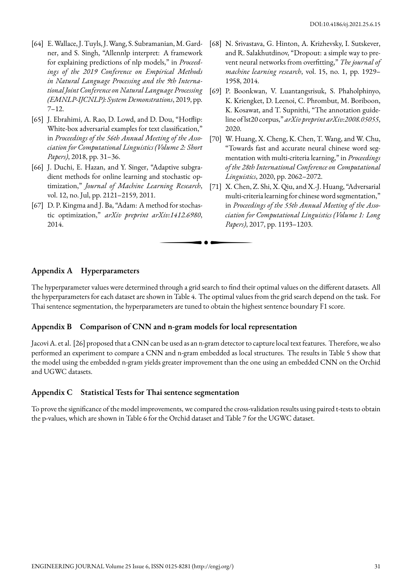- [64] E. Wallace, J. Tuyls, J. Wang, S. Subramanian, M. Gardner, and S. Singh, "Allennlp interpret: A framework for explaining predictions of nlp models," in *Proceedings of the 2019 Conference on Empirical Methods in Natural Language Processing and the 9th International Joint Conference on Natural Language Processing (EMNLP-IJCNLP): System Demonstrations*, 2019, pp. 7–12.
- [65] J. Ebrahimi, A. Rao, D. Lowd, and D. Dou, "Hotflip: White-box adversarial examples for text classification," in *Proceedings of the 56th Annual Meeting of the Association for Computational Linguistics (Volume 2: Short Papers)*, 2018, pp. 31–36.
- [66] J. Duchi, E. Hazan, and Y. Singer, "Adaptive subgradient methods for online learning and stochastic optimization," *Journal of Machine Learning Research*, vol. 12, no. Jul, pp. 2121–2159, 2011.
- [67] D. P. Kingma and J. Ba, "Adam: A method for stochastic optimization," *arXiv preprint arXiv:1412.6980*, 2014.
- [68] N. Srivastava, G. Hinton, A. Krizhevsky, I. Sutskever, and R. Salakhutdinov, "Dropout: a simple way to prevent neural networks from overfitting," *The journal of machine learning research*, vol. 15, no. 1, pp. 1929– 1958, 2014.
- [69] P. Boonkwan, V. Luantangsrisuk, S. Phaholphinyo, K. Kriengket, D. Leenoi, C. Phrombut, M. Boriboon, K. Kosawat, and T. Supnithi, "The annotation guideline of lst20 corpus," *arXiv preprint arXiv:2008.05055*, 2020.
- [70] W. Huang, X. Cheng, K. Chen, T. Wang, and W. Chu, "Towards fast and accurate neural chinese word segmentation with multi-criteria learning," in *Proceedings of the 28th International Conference on Computational Linguistics*, 2020, pp. 2062–2072.
- [71] X. Chen, Z. Shi, X. Qiu, and X.-J. Huang, "Adversarial multi-criteria learning for chinese word segmentation," in *Proceedings of the 55th Annual Meeting of the Association for Computational Linguistics (Volume 1: Long Papers)*, 2017, pp. 1193–1203.

# **Appendix A Hyperparameters**

The hyperparameter values were determined through a grid search to find their optimal values on the different datasets. All the hyperparameters for each dataset are shown in Table 4. The optimal values from the grid search depend on the task. For Thai sentence segmentation, the hyperparameters are tuned to obtain the highest sentence boundary F1 score.

. . .

# **Appendix B Comparison of CNN and n-gram models for local representation**

Jacovi A. et al. [26] proposed that a CNN can be used as an n-gram detector to capture local text features. Therefore, we also performed an experiment to compare a CNN and n-gram embedded as local structures. The results in Table 5 show that the model using the embedded n-gram yields greater improvement than the one using an embedded CNN on the Orchid and UGWC datasets.

#### **Appendix C Statistical Tests for Thai sentence segmentation**

To prove the significance of the model improvements, we compared the cross-validation results using paired t-tests to obtain the p-values, which are shown in Table 6 for the Orchid dataset and Table 7 for the UGWC dataset.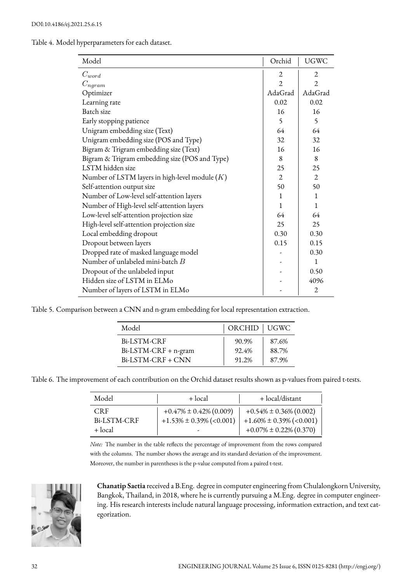Table 4. Model hyperparameters for each dataset.

| Model                                            | Orchid         | <b>UGWC</b>    |
|--------------------------------------------------|----------------|----------------|
| $C_{word}$                                       | 2              | 2              |
| $C_{ngram}$                                      | $\overline{2}$ | $\overline{2}$ |
| Optimizer                                        | AdaGrad        | AdaGrad        |
| Learning rate                                    | 0.02           | 0.02           |
| Batch size                                       | 16             | 16             |
| Early stopping patience                          | $\varsigma$    | $\varsigma$    |
| Unigram embedding size (Text)                    | 64             | 64             |
| Unigram embedding size (POS and Type)            | 32             | 32             |
| Bigram & Trigram embedding size (Text)           | 16             | 16             |
| Bigram & Trigram embedding size (POS and Type)   | 8              | 8              |
| LSTM hidden size                                 | 25             | 25             |
| Number of LSTM layers in high-level module $(K)$ | $\overline{2}$ | $\mathfrak{D}$ |
| Self-attention output size                       | 50             | 50             |
| Number of Low-level self-attention layers        | 1              | $\mathbf{1}$   |
| Number of High-level self-attention layers       | 1              | $\mathbf{1}$   |
| Low-level self-attention projection size         | 64             | 64             |
| High-level self-attention projection size        | 25             | 25             |
| Local embedding dropout                          | 0.30           | 0.30           |
| Dropout between layers                           | 0.15           | 0.15           |
| Dropped rate of masked language model            |                | 0.30           |
| Number of unlabeled mini-batch B                 |                | $\mathbf{1}$   |
| Dropout of the unlabeled input                   |                | 0.50           |
| Hidden size of LSTM in ELMo                      |                | 4096           |
| Number of layers of LSTM in ELMo                 |                | $\overline{2}$ |

Table 5. Comparison between a CNN and n-gram embedding for local representation extraction.

| Model                | ORCHID   UGWC |       |
|----------------------|---------------|-------|
| Bi-LSTM-CRF          | 90.9%         | 87.6% |
| Bi-LSTM-CRF + n-gram | 92.4%         | 88.7% |
| Bi-LSTM-CRF + CNN    | 91.2%         | 87.9% |

Table 6. The improvement of each contribution on the Orchid dataset results shown as p-values from paired t-tests.

| Model                                | + local                                                       | + local/distant                                                                               |  |  |  |
|--------------------------------------|---------------------------------------------------------------|-----------------------------------------------------------------------------------------------|--|--|--|
| <b>CRF</b><br>Bi-LSTM-CRF<br>+ local | $+0.47\% \pm 0.42\%$ (0.009)<br>$+1.53\% \pm 0.39\%$ (<0.001) | $+0.54\% \pm 0.36\% (0.002)$<br>$+1.60\% \pm 0.39\%$ (<0.001)<br>$+0.07\% \pm 0.22\% (0.370)$ |  |  |  |

*Note:* The number in the table reflects the percentage of improvement from the rows compared with the columns. The number shows the average and its standard deviation of the improvement. Moreover, the number in parentheses is the p-value computed from a paired t-test.



**Chanatip Saetia** received a B.Eng. degree in computer engineering from Chulalongkorn University, Bangkok, Thailand, in 2018, where he is currently pursuing a M.Eng. degree in computer engineering. His research interests include natural language processing, information extraction, and text categorization.